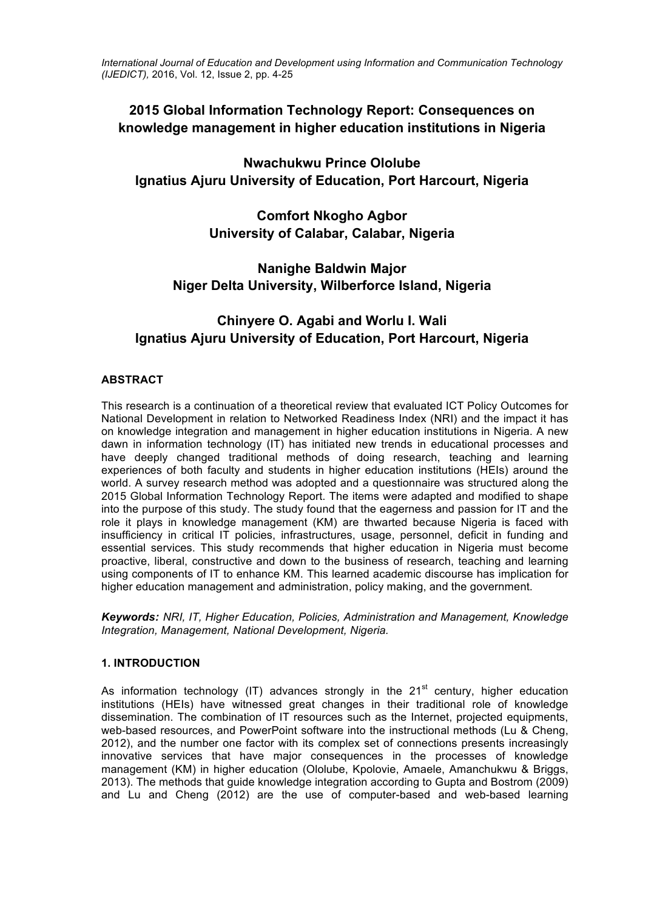*International Journal of Education and Development using Information and Communication Technology (IJEDICT),* 2016, Vol. 12, Issue 2, pp. 4-25

# **2015 Global Information Technology Report: Consequences on knowledge management in higher education institutions in Nigeria**

# **Nwachukwu Prince Ololube Ignatius Ajuru University of Education, Port Harcourt, Nigeria**

**Comfort Nkogho Agbor University of Calabar, Calabar, Nigeria**

# **Nanighe Baldwin Major Niger Delta University, Wilberforce Island, Nigeria**

# **Chinyere O. Agabi and Worlu I. Wali Ignatius Ajuru University of Education, Port Harcourt, Nigeria**

# **ABSTRACT**

This research is a continuation of a theoretical review that evaluated ICT Policy Outcomes for National Development in relation to Networked Readiness Index (NRI) and the impact it has on knowledge integration and management in higher education institutions in Nigeria. A new dawn in information technology (IT) has initiated new trends in educational processes and have deeply changed traditional methods of doing research, teaching and learning experiences of both faculty and students in higher education institutions (HEIs) around the world. A survey research method was adopted and a questionnaire was structured along the 2015 Global Information Technology Report. The items were adapted and modified to shape into the purpose of this study. The study found that the eagerness and passion for IT and the role it plays in knowledge management (KM) are thwarted because Nigeria is faced with insufficiency in critical IT policies, infrastructures, usage, personnel, deficit in funding and essential services. This study recommends that higher education in Nigeria must become proactive, liberal, constructive and down to the business of research, teaching and learning using components of IT to enhance KM. This learned academic discourse has implication for higher education management and administration, policy making, and the government.

*Keywords: NRI, IT, Higher Education, Policies, Administration and Management, Knowledge Integration, Management, National Development, Nigeria.*

# **1. INTRODUCTION**

As information technology (IT) advances strongly in the  $21<sup>st</sup>$  century, higher education institutions (HEIs) have witnessed great changes in their traditional role of knowledge dissemination. The combination of IT resources such as the Internet, projected equipments, web-based resources, and PowerPoint software into the instructional methods (Lu & Cheng, 2012), and the number one factor with its complex set of connections presents increasingly innovative services that have major consequences in the processes of knowledge management (KM) in higher education (Ololube, Kpolovie, Amaele, Amanchukwu & Briggs, 2013). The methods that guide knowledge integration according to Gupta and Bostrom (2009) and Lu and Cheng (2012) are the use of computer-based and web-based learning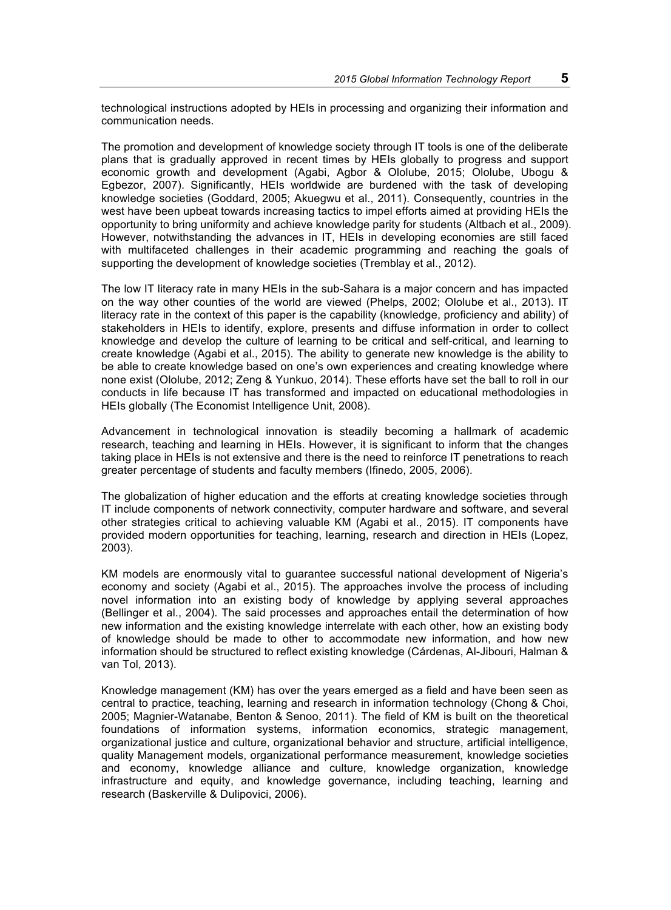technological instructions adopted by HEIs in processing and organizing their information and communication needs.

The promotion and development of knowledge society through IT tools is one of the deliberate plans that is gradually approved in recent times by HEIs globally to progress and support economic growth and development (Agabi, Agbor & Ololube, 2015; Ololube, Ubogu & Egbezor, 2007). Significantly, HEIs worldwide are burdened with the task of developing knowledge societies (Goddard, 2005; Akuegwu et al., 2011). Consequently, countries in the west have been upbeat towards increasing tactics to impel efforts aimed at providing HEIs the opportunity to bring uniformity and achieve knowledge parity for students (Altbach et al., 2009). However, notwithstanding the advances in IT, HEIs in developing economies are still faced with multifaceted challenges in their academic programming and reaching the goals of supporting the development of knowledge societies (Tremblay et al., 2012).

The low IT literacy rate in many HEIs in the sub-Sahara is a major concern and has impacted on the way other counties of the world are viewed (Phelps, 2002; Ololube et al., 2013). IT literacy rate in the context of this paper is the capability (knowledge, proficiency and ability) of stakeholders in HEIs to identify, explore, presents and diffuse information in order to collect knowledge and develop the culture of learning to be critical and self-critical, and learning to create knowledge (Agabi et al., 2015). The ability to generate new knowledge is the ability to be able to create knowledge based on one's own experiences and creating knowledge where none exist (Ololube, 2012; Zeng & Yunkuo, 2014). These efforts have set the ball to roll in our conducts in life because IT has transformed and impacted on educational methodologies in HEIs globally (The Economist Intelligence Unit, 2008).

Advancement in technological innovation is steadily becoming a hallmark of academic research, teaching and learning in HEIs. However, it is significant to inform that the changes taking place in HEIs is not extensive and there is the need to reinforce IT penetrations to reach greater percentage of students and faculty members (Ifinedo, 2005, 2006).

The globalization of higher education and the efforts at creating knowledge societies through IT include components of network connectivity, computer hardware and software, and several other strategies critical to achieving valuable KM (Agabi et al., 2015). IT components have provided modern opportunities for teaching, learning, research and direction in HEIs (Lopez, 2003).

KM models are enormously vital to guarantee successful national development of Nigeria's economy and society (Agabi et al., 2015). The approaches involve the process of including novel information into an existing body of knowledge by applying several approaches (Bellinger et al., 2004). The said processes and approaches entail the determination of how new information and the existing knowledge interrelate with each other, how an existing body of knowledge should be made to other to accommodate new information, and how new information should be structured to reflect existing knowledge (Cárdenas, Al-Jibouri, Halman & van Tol, 2013).

Knowledge management (KM) has over the years emerged as a field and have been seen as central to practice, teaching, learning and research in information technology (Chong & Choi, 2005; Magnier-Watanabe, Benton & Senoo, 2011). The field of KM is built on the theoretical foundations of information systems, information economics, strategic management, organizational justice and culture, organizational behavior and structure, artificial intelligence, quality Management models, organizational performance measurement, knowledge societies and economy, knowledge alliance and culture, knowledge organization, knowledge infrastructure and equity, and knowledge governance, including teaching, learning and research (Baskerville & Dulipovici, 2006).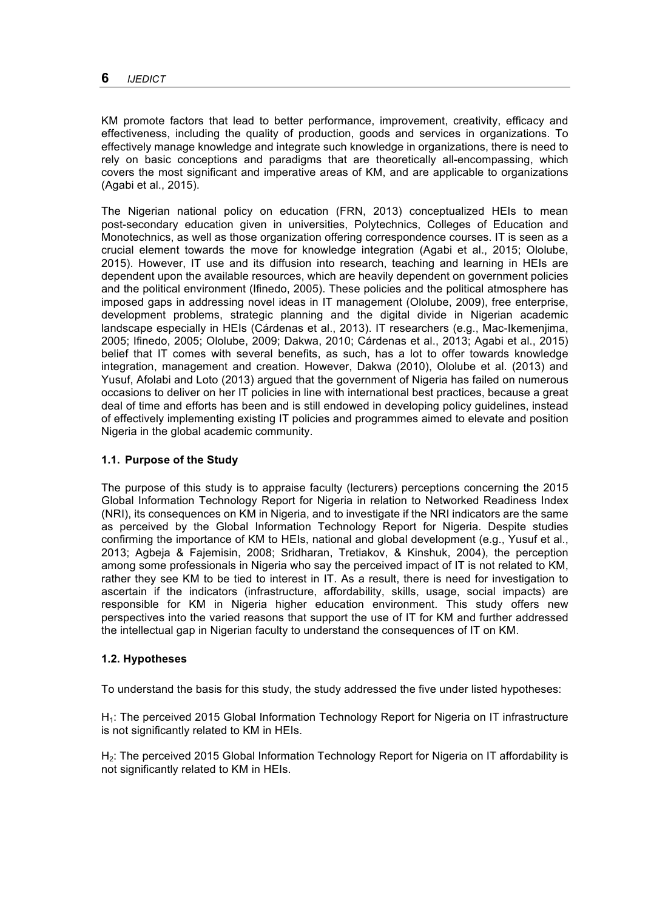KM promote factors that lead to better performance, improvement, creativity, efficacy and effectiveness, including the quality of production, goods and services in organizations. To effectively manage knowledge and integrate such knowledge in organizations, there is need to rely on basic conceptions and paradigms that are theoretically all-encompassing, which covers the most significant and imperative areas of KM, and are applicable to organizations (Agabi et al., 2015).

The Nigerian national policy on education (FRN, 2013) conceptualized HEIs to mean post-secondary education given in universities, Polytechnics, Colleges of Education and Monotechnics, as well as those organization offering correspondence courses. IT is seen as a crucial element towards the move for knowledge integration (Agabi et al., 2015; Ololube, 2015). However, IT use and its diffusion into research, teaching and learning in HEIs are dependent upon the available resources, which are heavily dependent on government policies and the political environment (Ifinedo, 2005). These policies and the political atmosphere has imposed gaps in addressing novel ideas in IT management (Ololube, 2009), free enterprise, development problems, strategic planning and the digital divide in Nigerian academic landscape especially in HEIs (Cárdenas et al., 2013). IT researchers (e.g., Mac-Ikemenjima, 2005; Ifinedo, 2005; Ololube, 2009; Dakwa, 2010; Cárdenas et al., 2013; Agabi et al., 2015) belief that IT comes with several benefits, as such, has a lot to offer towards knowledge integration, management and creation. However, Dakwa (2010), Ololube et al. (2013) and Yusuf, Afolabi and Loto (2013) argued that the government of Nigeria has failed on numerous occasions to deliver on her IT policies in line with international best practices, because a great deal of time and efforts has been and is still endowed in developing policy guidelines, instead of effectively implementing existing IT policies and programmes aimed to elevate and position Nigeria in the global academic community.

### **1.1. Purpose of the Study**

The purpose of this study is to appraise faculty (lecturers) perceptions concerning the 2015 Global Information Technology Report for Nigeria in relation to Networked Readiness Index (NRI), its consequences on KM in Nigeria, and to investigate if the NRI indicators are the same as perceived by the Global Information Technology Report for Nigeria. Despite studies confirming the importance of KM to HEIs, national and global development (e.g., Yusuf et al., 2013; Agbeja & Fajemisin, 2008; Sridharan, Tretiakov, & Kinshuk, 2004), the perception among some professionals in Nigeria who say the perceived impact of IT is not related to KM, rather they see KM to be tied to interest in IT. As a result, there is need for investigation to ascertain if the indicators (infrastructure, affordability, skills, usage, social impacts) are responsible for KM in Nigeria higher education environment. This study offers new perspectives into the varied reasons that support the use of IT for KM and further addressed the intellectual gap in Nigerian faculty to understand the consequences of IT on KM.

### **1.2. Hypotheses**

To understand the basis for this study, the study addressed the five under listed hypotheses:

H<sub>1</sub>: The perceived 2015 Global Information Technology Report for Nigeria on IT infrastructure is not significantly related to KM in HEIs.

H<sub>2</sub>: The perceived 2015 Global Information Technology Report for Nigeria on IT affordability is not significantly related to KM in HEIs.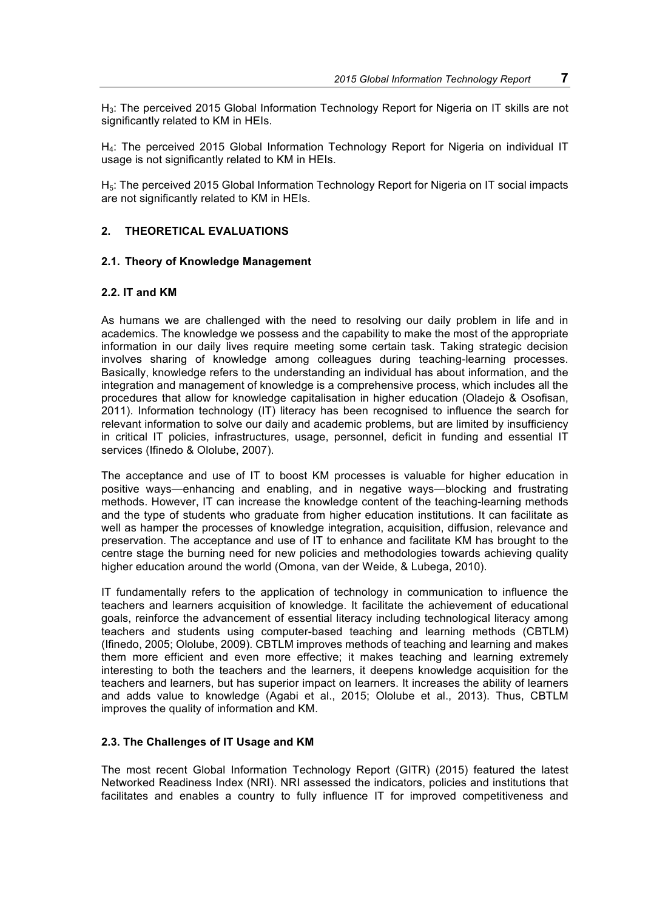H3: The perceived 2015 Global Information Technology Report for Nigeria on IT skills are not significantly related to KM in HEIs.

H<sub>4</sub>: The perceived 2015 Global Information Technology Report for Nigeria on individual IT usage is not significantly related to KM in HEIs.

H<sub>5</sub>: The perceived 2015 Global Information Technology Report for Nigeria on IT social impacts are not significantly related to KM in HEIs.

## **2. THEORETICAL EVALUATIONS**

### **2.1. Theory of Knowledge Management**

#### **2.2. IT and KM**

As humans we are challenged with the need to resolving our daily problem in life and in academics. The knowledge we possess and the capability to make the most of the appropriate information in our daily lives require meeting some certain task. Taking strategic decision involves sharing of knowledge among colleagues during teaching-learning processes. Basically, knowledge refers to the understanding an individual has about information, and the integration and management of knowledge is a comprehensive process, which includes all the procedures that allow for knowledge capitalisation in higher education (Oladejo & Osofisan, 2011). Information technology (IT) literacy has been recognised to influence the search for relevant information to solve our daily and academic problems, but are limited by insufficiency in critical IT policies, infrastructures, usage, personnel, deficit in funding and essential IT services (Ifinedo & Ololube, 2007).

The acceptance and use of IT to boost KM processes is valuable for higher education in positive ways—enhancing and enabling, and in negative ways—blocking and frustrating methods. However, IT can increase the knowledge content of the teaching-learning methods and the type of students who graduate from higher education institutions. It can facilitate as well as hamper the processes of knowledge integration, acquisition, diffusion, relevance and preservation. The acceptance and use of IT to enhance and facilitate KM has brought to the centre stage the burning need for new policies and methodologies towards achieving quality higher education around the world (Omona, van der Weide, & Lubega, 2010).

IT fundamentally refers to the application of technology in communication to influence the teachers and learners acquisition of knowledge. It facilitate the achievement of educational goals, reinforce the advancement of essential literacy including technological literacy among teachers and students using computer-based teaching and learning methods (CBTLM) (Ifinedo, 2005; Ololube, 2009). CBTLM improves methods of teaching and learning and makes them more efficient and even more effective; it makes teaching and learning extremely interesting to both the teachers and the learners, it deepens knowledge acquisition for the teachers and learners, but has superior impact on learners. It increases the ability of learners and adds value to knowledge (Agabi et al., 2015; Ololube et al., 2013). Thus, CBTLM improves the quality of information and KM.

#### **2.3. The Challenges of IT Usage and KM**

The most recent Global Information Technology Report (GITR) (2015) featured the latest Networked Readiness Index (NRI). NRI assessed the indicators, policies and institutions that facilitates and enables a country to fully influence IT for improved competitiveness and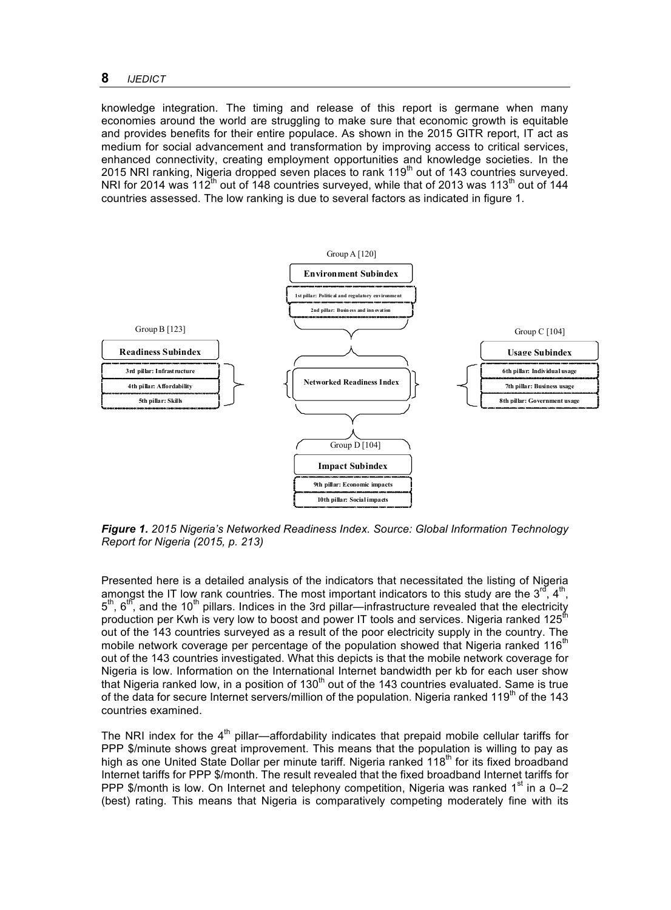knowledge integration. The timing and release of this report is germane when many economies around the world are struggling to make sure that economic growth is equitable and provides benefits for their entire populace. As shown in the 2015 GITR report, IT act as medium for social advancement and transformation by improving access to critical services, enhanced connectivity, creating employment opportunities and knowledge societies. In the 2015 NRI ranking, Nigeria dropped seven places to rank 119<sup>th</sup> out of 143 countries surveyed. NRI for 2014 was 112<sup>th</sup> out of 148 countries surveyed, while that of 2013 was 113<sup>th</sup> out of 144 countries assessed. The low ranking is due to several factors as indicated in figure 1.



*Figure 1. 2015 Nigeria's Networked Readiness Index. Source: Global Information Technology Report for Nigeria (2015, p. 213)*

Presented here is a detailed analysis of the indicators that necessitated the listing of Nigeria amongst the IT low rank countries. The most important indicators to this study are the  $3^{rd}$ ,  $4^{th}$ . amongst the IT low rank countries. The most important indicators to this study are the  $3<sup>rd</sup>$  $5<sup>th</sup>$ ,  $6<sup>th</sup>$ , and the 10<sup>th</sup> pillars. Indices in the 3rd pillar—infrastructure revealed that the electricity production per Kwh is very low to boost and power IT tools and services. Nigeria ranked 125<sup>th</sup> out of the 143 countries surveyed as a result of the poor electricity supply in the country. The mobile network coverage per percentage of the population showed that Nigeria ranked 116 $^{\text{m}}$ out of the 143 countries investigated. What this depicts is that the mobile network coverage for Nigeria is low. Information on the International Internet bandwidth per kb for each user show that Nigeria ranked low, in a position of  $130<sup>th</sup>$  out of the 143 countries evaluated. Same is true of the data for secure Internet servers/million of the population. Nigeria ranked  $119<sup>th</sup>$  of the 143 countries examined.

The NRI index for the  $4<sup>th</sup>$  pillar—affordability indicates that prepaid mobile cellular tariffs for PPP \$/minute shows great improvement. This means that the population is willing to pay as high as one United State Dollar per minute tariff. Nigeria ranked 118<sup>th</sup> for its fixed broadband Internet tariffs for PPP \$/month. The result revealed that the fixed broadband Internet tariffs for PPP \$/month is low. On Internet and telephony competition, Nigeria was ranked  $1<sup>st</sup>$  in a 0–2 (best) rating. This means that Nigeria is comparatively competing moderately fine with its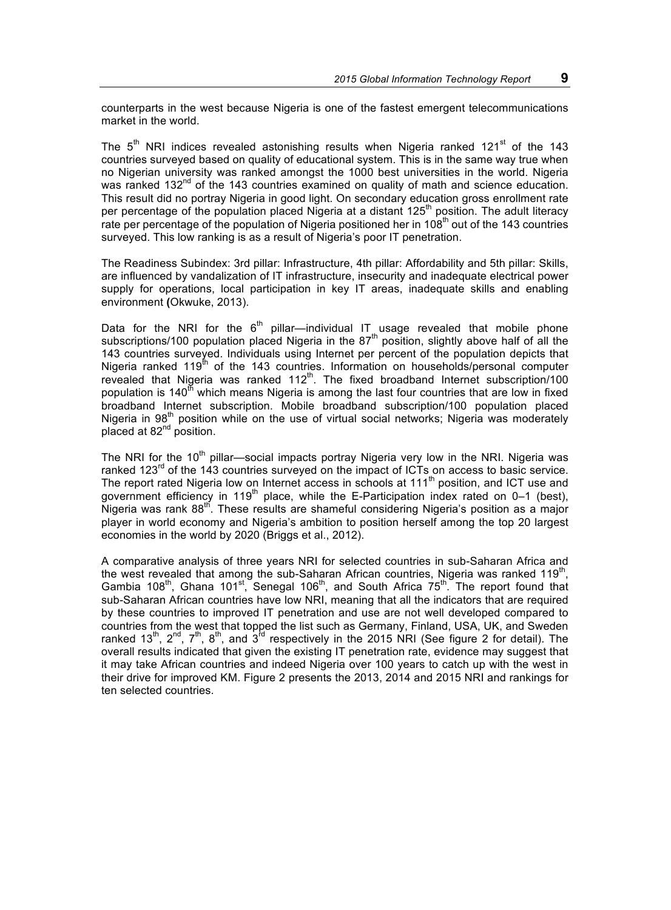counterparts in the west because Nigeria is one of the fastest emergent telecommunications market in the world.

The  $5<sup>th</sup>$  NRI indices revealed astonishing results when Nigeria ranked 121<sup>st</sup> of the 143 countries surveyed based on quality of educational system. This is in the same way true when no Nigerian university was ranked amongst the 1000 best universities in the world. Nigeria was ranked 132<sup>nd</sup> of the 143 countries examined on quality of math and science education. This result did no portray Nigeria in good light. On secondary education gross enrollment rate per percentage of the population placed Nigeria at a distant 125<sup>th</sup> position. The adult literacy rate per percentage of the population of Nigeria positioned her in 108<sup>th</sup> out of the 143 countries surveyed. This low ranking is as a result of Nigeria's poor IT penetration.

The Readiness Subindex: 3rd pillar: Infrastructure, 4th pillar: Affordability and 5th pillar: Skills, are influenced by vandalization of IT infrastructure, insecurity and inadequate electrical power supply for operations, local participation in key IT areas, inadequate skills and enabling environment **(**Okwuke, 2013).

Data for the NRI for the  $6<sup>th</sup>$  pillar—individual IT usage revealed that mobile phone subscriptions/100 population placed Nigeria in the 87<sup>th</sup> position, slightly above half of all the 143 countries surveyed. Individuals using Internet per percent of the population depicts that Nigeria ranked  $119<sup>th</sup>$  of the 143 countries. Information on households/personal computer revealed that Nigeria was ranked 112<sup>th</sup>. The fixed broadband Internet subscription/100 population is  $140<sup>th</sup>$  which means Nigeria is among the last four countries that are low in fixed broadband Internet subscription. Mobile broadband subscription/100 population placed Nigeria in 98<sup>th</sup> position while on the use of virtual social networks; Nigeria was moderately placed at 82<sup>nd</sup> position.

The NRI for the 10<sup>th</sup> pillar—social impacts portray Nigeria very low in the NRI. Nigeria was ranked 123<sup>rd</sup> of the 143 countries surveyed on the impact of ICTs on access to basic service. The report rated Nigeria low on Internet access in schools at 111<sup>th</sup> position, and ICT use and government efficiency in 119<sup>th</sup> place, while the E-Participation index rated on  $0-1$  (best), Nigeria was rank 88<sup>th</sup>. These results are shameful considering Nigeria's position as a major player in world economy and Nigeria's ambition to position herself among the top 20 largest economies in the world by 2020 (Briggs et al., 2012).

A comparative analysis of three years NRI for selected countries in sub-Saharan Africa and the west revealed that among the sub-Saharan African countries, Nigeria was ranked  $119<sup>th</sup>$ . Gambia 108<sup>th</sup>, Ghana 101<sup>st</sup>, Senegal 106<sup>th</sup>, and South Africa  $75^{th}$ . The report found that sub-Saharan African countries have low NRI, meaning that all the indicators that are required by these countries to improved IT penetration and use are not well developed compared to countries from the west that topped the list such as Germany, Finland, USA, UK, and Sweden ranked 13<sup>th</sup>, 2<sup>nd</sup>, 7<sup>th</sup>, 8<sup>th</sup>, and 3<sup>td</sup> respectively in the 2015 NRI (See figure 2 for detail). The overall results indicated that given the existing IT penetration rate, evidence may suggest that it may take African countries and indeed Nigeria over 100 years to catch up with the west in their drive for improved KM. Figure 2 presents the 2013, 2014 and 2015 NRI and rankings for ten selected countries.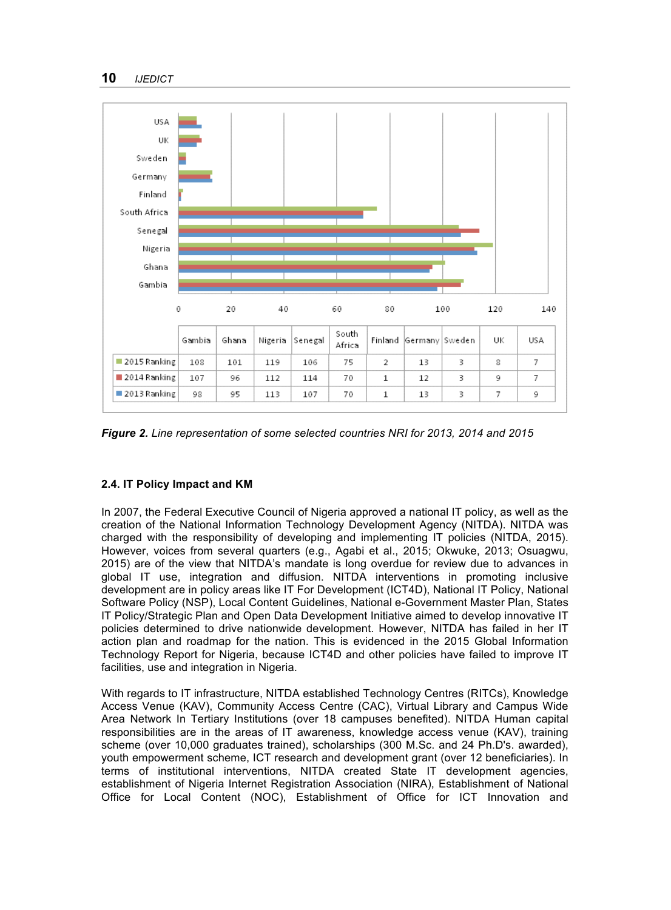

*Figure 2. Line representation of some selected countries NRI for 2013, 2014 and 2015*

# **2.4. IT Policy Impact and KM**

In 2007, the Federal Executive Council of Nigeria approved a national IT policy, as well as the creation of the National Information Technology Development Agency (NITDA). NITDA was charged with the responsibility of developing and implementing IT policies (NITDA, 2015). However, voices from several quarters (e.g., Agabi et al., 2015; Okwuke, 2013; Osuagwu, 2015) are of the view that NITDA's mandate is long overdue for review due to advances in global IT use, integration and diffusion. NITDA interventions in promoting inclusive development are in policy areas like IT For Development (ICT4D), National IT Policy, National Software Policy (NSP), Local Content Guidelines, National e-Government Master Plan, States IT Policy/Strategic Plan and Open Data Development Initiative aimed to develop innovative IT policies determined to drive nationwide development. However, NITDA has failed in her IT action plan and roadmap for the nation. This is evidenced in the 2015 Global Information Technology Report for Nigeria, because ICT4D and other policies have failed to improve IT facilities, use and integration in Nigeria.

With regards to IT infrastructure, NITDA established Technology Centres (RITCs), Knowledge Access Venue (KAV), Community Access Centre (CAC), Virtual Library and Campus Wide Area Network In Tertiary Institutions (over 18 campuses benefited). NITDA Human capital responsibilities are in the areas of IT awareness, knowledge access venue (KAV), training scheme (over 10,000 graduates trained), scholarships (300 M.Sc. and 24 Ph.D's. awarded), youth empowerment scheme, ICT research and development grant (over 12 beneficiaries). In terms of institutional interventions, NITDA created State IT development agencies, establishment of Nigeria Internet Registration Association (NIRA), Establishment of National Office for Local Content (NOC), Establishment of Office for ICT Innovation and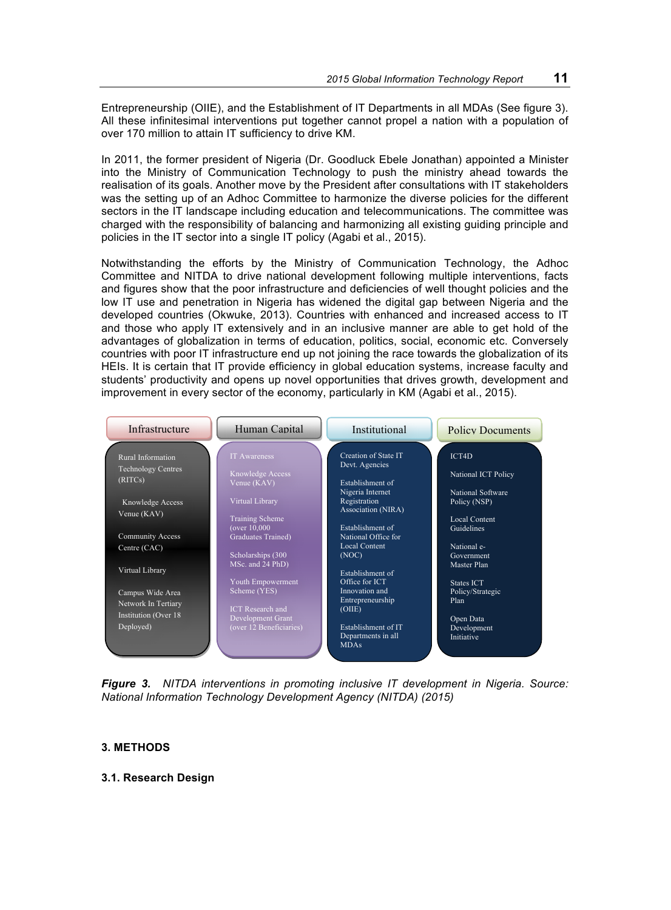Entrepreneurship (OIIE), and the Establishment of IT Departments in all MDAs (See figure 3). All these infinitesimal interventions put together cannot propel a nation with a population of over 170 million to attain IT sufficiency to drive KM.

In 2011, the former president of Nigeria (Dr. Goodluck Ebele Jonathan) appointed a Minister into the Ministry of Communication Technology to push the ministry ahead towards the realisation of its goals. Another move by the President after consultations with IT stakeholders was the setting up of an Adhoc Committee to harmonize the diverse policies for the different sectors in the IT landscape including education and telecommunications. The committee was charged with the responsibility of balancing and harmonizing all existing guiding principle and policies in the IT sector into a single IT policy (Agabi et al., 2015).

Notwithstanding the efforts by the Ministry of Communication Technology, the Adhoc Committee and NITDA to drive national development following multiple interventions, facts and figures show that the poor infrastructure and deficiencies of well thought policies and the low IT use and penetration in Nigeria has widened the digital gap between Nigeria and the developed countries (Okwuke, 2013). Countries with enhanced and increased access to IT and those who apply IT extensively and in an inclusive manner are able to get hold of the advantages of globalization in terms of education, politics, social, economic etc. Conversely countries with poor IT infrastructure end up not joining the race towards the globalization of its HEIs. It is certain that IT provide efficiency in global education systems, increase faculty and students' productivity and opens up novel opportunities that drives growth, development and improvement in every sector of the economy, particularly in KM (Agabi et al., 2015).

| Infrastructure                  | Human Capital                          | Institutional                                          | <b>Policy Documents</b>           |
|---------------------------------|----------------------------------------|--------------------------------------------------------|-----------------------------------|
| Rural Information               | <b>IT Awareness</b>                    | Creation of State IT<br>Devt. Agencies                 | ICT4D                             |
| <b>Technology Centres</b>       | Knowledge Access                       |                                                        | National ICT Policy               |
| (RITCs)                         | Venue (KAV)                            | Establishment of                                       |                                   |
| Knowledge Access<br>Venue (KAV) | Virtual Library                        | Nigeria Internet<br>Registration<br>Association (NIRA) | National Software<br>Policy (NSP) |
|                                 | <b>Training Scheme</b>                 |                                                        | Local Content                     |
| <b>Community Access</b>         | (over 10,000<br>Graduates Trained)     | Establishment of<br>National Office for                | Guidelines                        |
| Centre (CAC)                    |                                        | <b>Local Content</b>                                   | National e-                       |
| Virtual Library                 | Scholarships (300)<br>MSc. and 24 PhD) | (NOC)<br>Establishment of                              | Government<br>Master Plan         |
|                                 | Youth Empowerment                      | Office for ICT                                         | States ICT                        |
| Campus Wide Area                | Scheme (YES)                           | Innovation and<br>Entrepreneurship                     | Policy/Strategic<br>Plan          |
| Network In Tertiary             | <b>ICT</b> Research and                | (OIIE)                                                 |                                   |
| Institution (Over 18)           | <b>Development Grant</b>               |                                                        | Open Data                         |
| Deployed)                       | (over 12 Beneficiaries)                | Establishment of IT                                    | Development                       |
|                                 |                                        | Departments in all<br><b>MDAs</b>                      | Initiative                        |

*Figure 3. NITDA interventions in promoting inclusive IT development in Nigeria. Source: National Information Technology Development Agency (NITDA) (2015)*

#### **3. METHODS**

### **3.1. Research Design**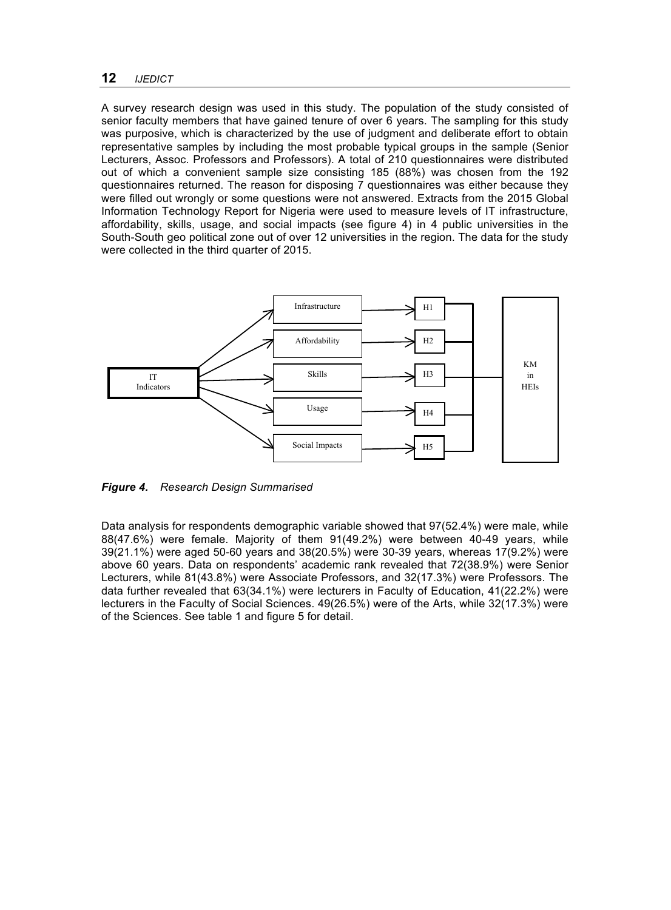A survey research design was used in this study. The population of the study consisted of senior faculty members that have gained tenure of over 6 years. The sampling for this study was purposive, which is characterized by the use of judgment and deliberate effort to obtain representative samples by including the most probable typical groups in the sample (Senior Lecturers, Assoc. Professors and Professors). A total of 210 questionnaires were distributed out of which a convenient sample size consisting 185 (88%) was chosen from the 192 questionnaires returned. The reason for disposing 7 questionnaires was either because they were filled out wrongly or some questions were not answered. Extracts from the 2015 Global Information Technology Report for Nigeria were used to measure levels of IT infrastructure, affordability, skills, usage, and social impacts (see figure 4) in 4 public universities in the South-South geo political zone out of over 12 universities in the region. The data for the study were collected in the third quarter of 2015.



*Figure 4. Research Design Summarised*

Data analysis for respondents demographic variable showed that 97(52.4%) were male, while 88(47.6%) were female. Majority of them 91(49.2%) were between 40-49 years, while 39(21.1%) were aged 50-60 years and 38(20.5%) were 30-39 years, whereas 17(9.2%) were above 60 years. Data on respondents' academic rank revealed that 72(38.9%) were Senior Lecturers, while 81(43.8%) were Associate Professors, and 32(17.3%) were Professors. The data further revealed that 63(34.1%) were lecturers in Faculty of Education, 41(22.2%) were lecturers in the Faculty of Social Sciences. 49(26.5%) were of the Arts, while 32(17.3%) were of the Sciences. See table 1 and figure 5 for detail.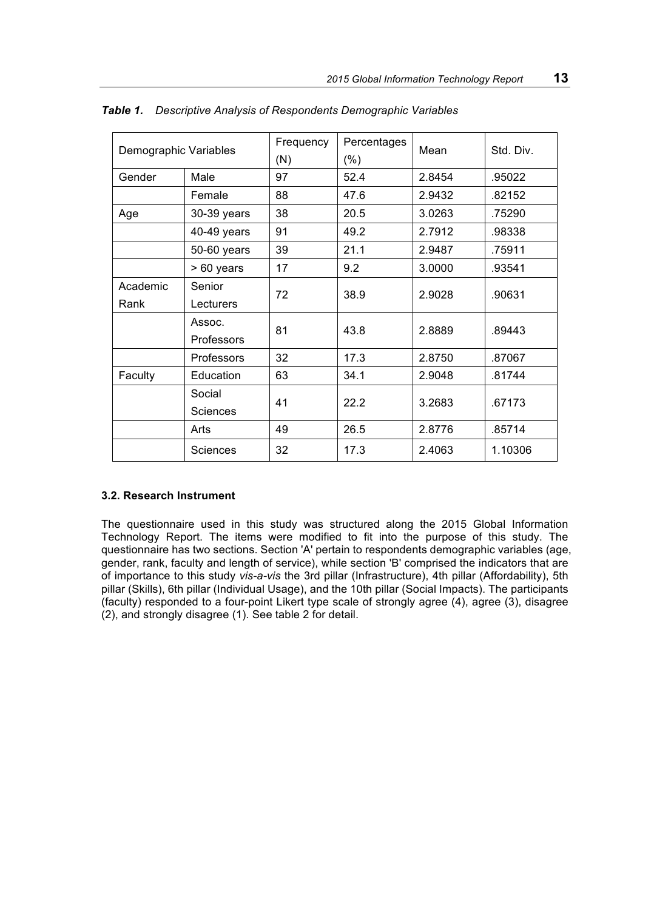| Demographic Variables |                   | Frequency<br>(N) | Percentages<br>$(\%)$ | Mean   | Std. Div. |  |
|-----------------------|-------------------|------------------|-----------------------|--------|-----------|--|
| Gender                | Male              |                  | 52.4                  | 2.8454 | .95022    |  |
|                       | Female            | 88               | 47.6                  | 2.9432 | .82152    |  |
| Age                   | 30-39 years       | 38               | 20.5                  | 3.0263 | .75290    |  |
|                       | 40-49 years       | 91               | 49.2                  | 2.7912 | .98338    |  |
|                       | 50-60 years       | 39               | 21.1                  | 2.9487 | .75911    |  |
|                       | > 60 years        | 17               | 9.2                   | 3.0000 | .93541    |  |
| Academic              | Senior            | 72               | 38.9                  | 2.9028 | .90631    |  |
| Rank                  | Lecturers         |                  |                       |        |           |  |
|                       | Assoc.            | 81               | 43.8                  | 2.8889 | .89443    |  |
|                       | <b>Professors</b> |                  |                       |        |           |  |
|                       | Professors        | 32               | 17.3                  | 2.8750 | .87067    |  |
| Faculty               | Education         | 63               | 34.1                  | 2.9048 | .81744    |  |
|                       | Social            | 41               | 22.2                  | 3.2683 |           |  |
|                       | Sciences          |                  |                       |        | .67173    |  |
|                       | Arts              | 49               | 26.5                  | 2.8776 | .85714    |  |
|                       | Sciences          | 32               | 17.3                  | 2.4063 | 1.10306   |  |

*Table 1. Descriptive Analysis of Respondents Demographic Variables*

#### **3.2. Research Instrument**

The questionnaire used in this study was structured along the 2015 Global Information Technology Report. The items were modified to fit into the purpose of this study. The questionnaire has two sections. Section 'A' pertain to respondents demographic variables (age, gender, rank, faculty and length of service), while section 'B' comprised the indicators that are of importance to this study *vis-a-vis* the 3rd pillar (Infrastructure), 4th pillar (Affordability), 5th pillar (Skills), 6th pillar (Individual Usage), and the 10th pillar (Social Impacts). The participants (faculty) responded to a four-point Likert type scale of strongly agree (4), agree (3), disagree (2), and strongly disagree (1). See table 2 for detail.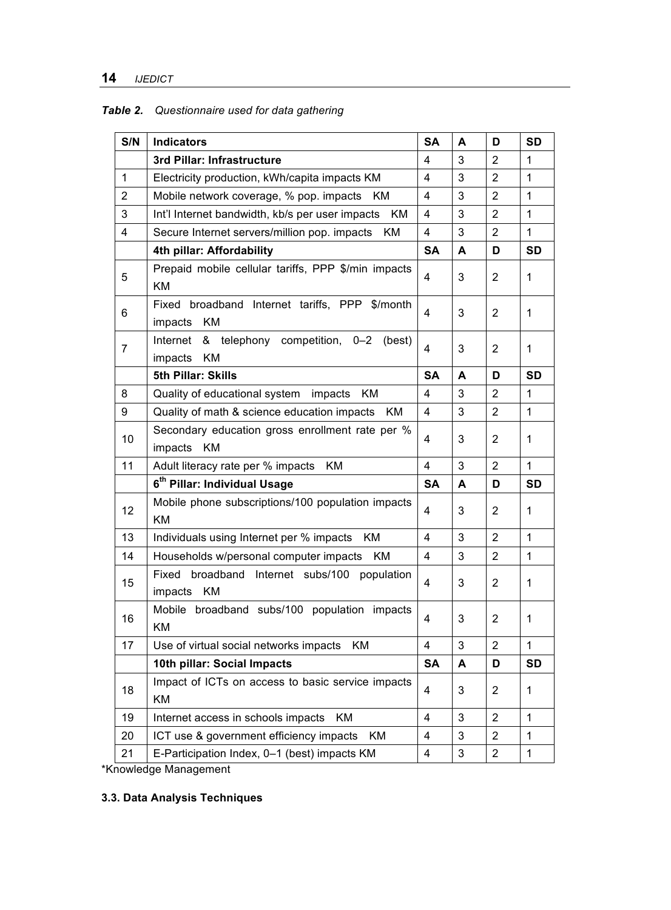# *Table 2. Questionnaire used for data gathering*

| S/N          | <b>Indicators</b>                                                          | <b>SA</b>               | A | D              | <b>SD</b>    |
|--------------|----------------------------------------------------------------------------|-------------------------|---|----------------|--------------|
|              | 3rd Pillar: Infrastructure                                                 | 4                       | 3 | $\overline{2}$ | 1            |
| $\mathbf{1}$ | Electricity production, kWh/capita impacts KM                              | $\overline{4}$          | 3 | $\overline{2}$ | 1            |
| 2            | Mobile network coverage, % pop. impacts<br>KM.                             | 4                       | 3 | $\overline{2}$ | $\mathbf{1}$ |
| 3            | Int'l Internet bandwidth, kb/s per user impacts<br>ΚM                      | 4                       | 3 | $\overline{2}$ | 1            |
| 4            | ΚM<br>Secure Internet servers/million pop. impacts                         | 4                       | 3 | $\overline{2}$ | 1            |
|              | 4th pillar: Affordability                                                  | <b>SA</b>               | A | D              | <b>SD</b>    |
| 5            | Prepaid mobile cellular tariffs, PPP \$/min impacts<br>ΚM                  | 4                       | 3 | $\overline{2}$ | 1            |
| 6            | Fixed broadband Internet tariffs, PPP \$/month<br>KM<br>impacts            | 4                       | 3 | 2              | 1            |
| 7            | Internet<br>& telephony competition, 0-2<br>(best)<br>KM<br>impacts        | 4                       | 3 | 2              | 1            |
|              | 5th Pillar: Skills                                                         | SA                      | A | D              | SD           |
| 8            | Quality of educational system<br>KM<br>impacts                             | $\overline{\mathbf{4}}$ | 3 | $\overline{2}$ | 1            |
| 9            | Quality of math & science education impacts<br>KM                          | 4                       | 3 | 2              | $\mathbf{1}$ |
| 10           | Secondary education gross enrollment rate per %<br><b>KM</b><br>impacts    | 4                       | 3 | 2              | 1            |
| 11           | Adult literacy rate per % impacts KM                                       | 4                       | 3 | $\overline{2}$ | $\mathbf{1}$ |
|              | 6 <sup>th</sup> Pillar: Individual Usage                                   | SA                      | A | D              | <b>SD</b>    |
| 12           | Mobile phone subscriptions/100 population impacts<br>KM                    | 4                       | 3 | $\overline{2}$ | 1            |
| 13           | Individuals using Internet per % impacts<br>KM.                            | 4                       | 3 | $\overline{2}$ | 1            |
| 14           | Households w/personal computer impacts<br>KM                               | $\overline{\mathbf{4}}$ | 3 | $\overline{2}$ | 1            |
| 15           | broadband Internet subs/100<br>Fixed<br>population<br><b>KM</b><br>impacts | 4                       | 3 | $\overline{2}$ | 1            |
| 16           | Mobile broadband subs/100 population impacts<br>KM                         | 4                       | 3 | 2              | 1            |
| 17           | Use of virtual social networks impacts<br>ΚM                               | 4                       | 3 | $\overline{2}$ | 1            |
|              | 10th pillar: Social Impacts                                                | <b>SA</b>               | A | D              | <b>SD</b>    |
| 18           | Impact of ICTs on access to basic service impacts<br>KM                    | 4                       | 3 | $\overline{c}$ | 1            |
| 19           | Internet access in schools impacts<br>ΚM                                   | $\overline{4}$          | 3 | $\overline{2}$ | $\mathbf{1}$ |
| 20           | ICT use & government efficiency impacts<br>KM.                             | 4                       | 3 | 2              | 1            |
| 21           | E-Participation Index, 0-1 (best) impacts KM                               | 4                       | 3 | $\overline{c}$ | 1            |

\*Knowledge Management

# **3.3. Data Analysis Techniques**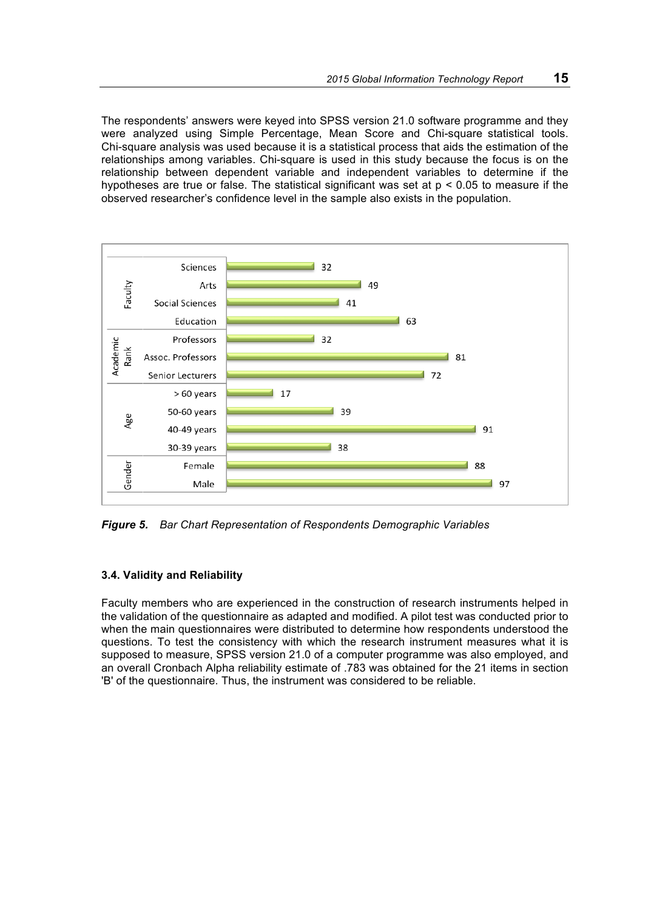The respondents' answers were keyed into SPSS version 21.0 software programme and they were analyzed using Simple Percentage, Mean Score and Chi-square statistical tools. Chi-square analysis was used because it is a statistical process that aids the estimation of the relationships among variables. Chi-square is used in this study because the focus is on the relationship between dependent variable and independent variables to determine if the hypotheses are true or false. The statistical significant was set at  $p < 0.05$  to measure if the observed researcher's confidence level in the sample also exists in the population.



*Figure 5. Bar Chart Representation of Respondents Demographic Variables* 

## **3.4. Validity and Reliability**

Faculty members who are experienced in the construction of research instruments helped in the validation of the questionnaire as adapted and modified. A pilot test was conducted prior to when the main questionnaires were distributed to determine how respondents understood the questions. To test the consistency with which the research instrument measures what it is supposed to measure, SPSS version 21.0 of a computer programme was also employed, and an overall Cronbach Alpha reliability estimate of .783 was obtained for the 21 items in section 'B' of the questionnaire. Thus, the instrument was considered to be reliable.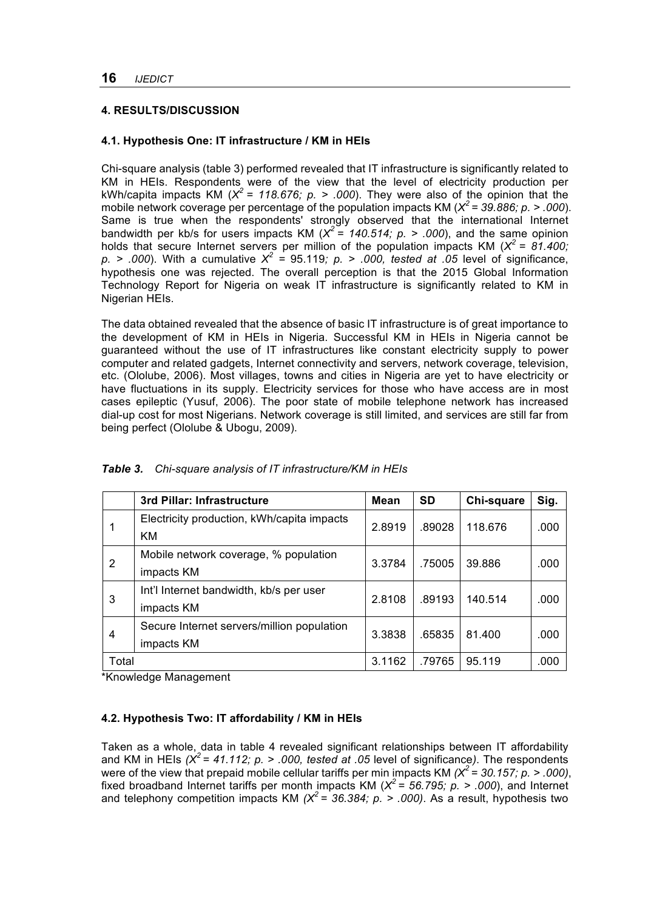## **4. RESULTS/DISCUSSION**

## **4.1. Hypothesis One: IT infrastructure / KM in HEIs**

Chi-square analysis (table 3) performed revealed that IT infrastructure is significantly related to KM in HEIs. Respondents were of the view that the level of electricity production per kWh/capita impacts KM ( $X^2$  = 118.676; p. > .000). They were also of the opinion that the mobile network coverage per percentage of the population impacts KM (*X<sup>2</sup> = 39.886; p. > .000*). Same is true when the respondents' strongly observed that the international Internet bandwidth per kb/s for users impacts KM ( $X^2$  = 140.514; p. > .000), and the same opinion holds that secure Internet servers per million of the population impacts KM  $(X^2 = 81.400)$ ;  $p.$  > .000). With a cumulative  $X^2$  = 95.119*; p.* > .000, tested at .05 level of significance, hypothesis one was rejected. The overall perception is that the 2015 Global Information Technology Report for Nigeria on weak IT infrastructure is significantly related to KM in Nigerian HEIs.

The data obtained revealed that the absence of basic IT infrastructure is of great importance to the development of KM in HEIs in Nigeria. Successful KM in HEIs in Nigeria cannot be guaranteed without the use of IT infrastructures like constant electricity supply to power computer and related gadgets, Internet connectivity and servers, network coverage, television, etc. (Ololube, 2006). Most villages, towns and cities in Nigeria are yet to have electricity or have fluctuations in its supply. Electricity services for those who have access are in most cases epileptic (Yusuf, 2006). The poor state of mobile telephone network has increased dial-up cost for most Nigerians. Network coverage is still limited, and services are still far from being perfect (Ololube & Ubogu, 2009).

|       | 3rd Pillar: Infrastructure                 | <b>Mean</b> | <b>SD</b> | Chi-square | Sig. |
|-------|--------------------------------------------|-------------|-----------|------------|------|
|       | Electricity production, kWh/capita impacts | 2.8919      | .89028    | 118.676    | .000 |
|       | KМ                                         |             |           |            |      |
| 2     | Mobile network coverage, % population      | 3.3784      | .75005    | 39.886     | .000 |
|       | impacts KM                                 |             |           |            |      |
| 3     | Int'l Internet bandwidth, kb/s per user    | 2.8108      | .89193    | 140.514    | .000 |
|       | impacts KM                                 |             |           |            |      |
| 4     | Secure Internet servers/million population | 3.3838      | .65835    | 81.400     | .000 |
|       | impacts KM                                 |             |           |            |      |
| Total |                                            | 3.1162      | .79765    | 95.119     | .000 |

*Table 3. Chi-square analysis of IT infrastructure/KM in HEIs*

\*Knowledge Management

## **4.2. Hypothesis Two: IT affordability / KM in HEIs**

Taken as a whole, data in table 4 revealed significant relationships between IT affordability and KM in HEIs *(X<sup>2</sup> = 41.112; p. > .000, tested at .05* level of significance*)*. The respondents were of the view that prepaid mobile cellular tariffs per min impacts KM *(X<sup>2</sup> = 30.157; p. > .000)*, fixed broadband Internet tariffs per month impacts KM ( $X^2$  = 56.795;  $p.$  > .000), and Internet and telephony competition impacts KM  $(X^2 = 36.384; p. > .000)$ . As a result, hypothesis two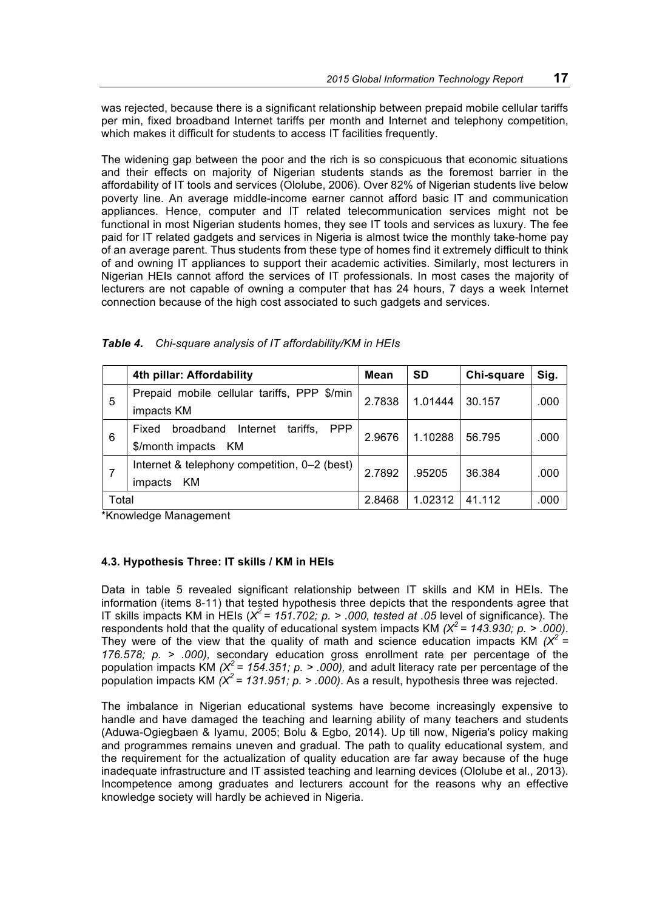was rejected, because there is a significant relationship between prepaid mobile cellular tariffs per min, fixed broadband Internet tariffs per month and Internet and telephony competition, which makes it difficult for students to access IT facilities frequently.

The widening gap between the poor and the rich is so conspicuous that economic situations and their effects on majority of Nigerian students stands as the foremost barrier in the affordability of IT tools and services (Ololube, 2006). Over 82% of Nigerian students live below poverty line. An average middle-income earner cannot afford basic IT and communication appliances. Hence, computer and IT related telecommunication services might not be functional in most Nigerian students homes, they see IT tools and services as luxury. The fee paid for IT related gadgets and services in Nigeria is almost twice the monthly take-home pay of an average parent. Thus students from these type of homes find it extremely difficult to think of and owning IT appliances to support their academic activities. Similarly, most lecturers in Nigerian HEIs cannot afford the services of IT professionals. In most cases the majority of lecturers are not capable of owning a computer that has 24 hours, 7 days a week Internet connection because of the high cost associated to such gadgets and services.

|       | 4th pillar: Affordability                                | Mean   | <b>SD</b> | Chi-square | Sig. |
|-------|----------------------------------------------------------|--------|-----------|------------|------|
| 5     | Prepaid mobile cellular tariffs, PPP \$/min              |        | 1.01444   | 30.157     | .000 |
|       | impacts KM                                               | 2.7838 |           |            |      |
| 6     | tariffs,<br><b>PPP</b><br>broadband<br>Fixed<br>Internet | 2.9676 | 1.10288   | 56.795     | .000 |
|       | \$/month impacts<br>KM.                                  |        |           |            |      |
|       | Internet & telephony competition, 0-2 (best)             | 2.7892 | .95205    | 36.384     | .000 |
| 7     | KM<br>impacts                                            |        |           |            |      |
| Total |                                                          | 2.8468 | 1.02312   | 41.112     | .000 |

|  | Table 4. Chi-square analysis of IT affordability/KM in HEIs |  |  |  |
|--|-------------------------------------------------------------|--|--|--|
|--|-------------------------------------------------------------|--|--|--|

\*Knowledge Management

#### **4.3. Hypothesis Three: IT skills / KM in HEIs**

Data in table 5 revealed significant relationship between IT skills and KM in HEIs. The information (items 8-11) that tested hypothesis three depicts that the respondents agree that IT skills impacts KM in HEIs (*X<sup>2</sup> = 151.702; p. > .000, tested at .05* level of significance). The respondents hold that the quality of educational system impacts KM *(X<sup>2</sup> = 143.930; p. > .000)*. They were of the view that the quality of math and science education impacts KM  $(X^2 =$ *176.578; p. > .000),* secondary education gross enrollment rate per percentage of the population impacts KM *(X<sup>2</sup> = 154.351; p. > .000),* and adult literacy rate per percentage of the population impacts KM  $(X^2 = 131.951; p. > .000)$ . As a result, hypothesis three was rejected.

The imbalance in Nigerian educational systems have become increasingly expensive to handle and have damaged the teaching and learning ability of many teachers and students (Aduwa-Ogiegbaen & Iyamu, 2005; Bolu & Egbo, 2014). Up till now, Nigeria's policy making and programmes remains uneven and gradual. The path to quality educational system, and the requirement for the actualization of quality education are far away because of the huge inadequate infrastructure and IT assisted teaching and learning devices (Ololube et al., 2013). Incompetence among graduates and lecturers account for the reasons why an effective knowledge society will hardly be achieved in Nigeria.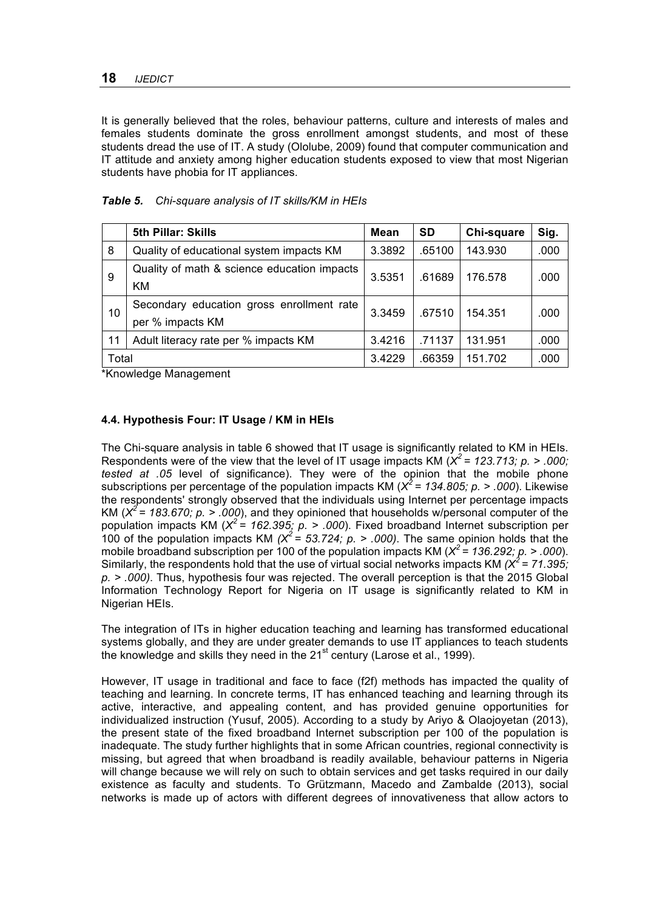It is generally believed that the roles, behaviour patterns, culture and interests of males and females students dominate the gross enrollment amongst students, and most of these students dread the use of IT. A study (Ololube, 2009) found that computer communication and IT attitude and anxiety among higher education students exposed to view that most Nigerian students have phobia for IT appliances.

|       | <b>5th Pillar: Skills</b>                   | <b>Mean</b> | <b>SD</b> | Chi-square | Sig. |
|-------|---------------------------------------------|-------------|-----------|------------|------|
| 8     | Quality of educational system impacts KM    | 3.3892      | .65100    | 143.930    | .000 |
| 9     | Quality of math & science education impacts | 3.5351      | .61689    | 176.578    | .000 |
|       | KM.                                         |             |           |            |      |
| 10    | Secondary education gross enrollment rate   | 3.3459      | .67510    | 154.351    | .000 |
|       | per % impacts KM                            |             |           |            |      |
| 11    | Adult literacy rate per % impacts KM        | 3.4216      | .71137    | 131.951    | .000 |
| Total |                                             | 3.4229      | .66359    | 151.702    | .000 |

## *Table 5. Chi-square analysis of IT skills/KM in HEIs*

\*Knowledge Management

# **4.4. Hypothesis Four: IT Usage / KM in HEIs**

The Chi-square analysis in table 6 showed that IT usage is significantly related to KM in HEIs. Respondents were of the view that the level of IT usage impacts KM  $(X^2 = 123.713; p. > .000;$ *tested at .05* level of significance). They were of the opinion that the mobile phone subscriptions per percentage of the population impacts KM (*X<sup>2</sup> = 134.805; p. > .000*). Likewise the respondents' strongly observed that the individuals using Internet per percentage impacts KM ( $X^2$  = 183.670; p. > .000), and they opinioned that households w/personal computer of the population impacts KM (*X<sup>2</sup> = 162.395; p. > .000*). Fixed broadband Internet subscription per 100 of the population impacts KM  $(X^2 = 53.724, p. > .000)$ . The same opinion holds that the mobile broadband subscription per 100 of the population impacts KM (*X<sup>2</sup> = 136.292; p. > .000*). Similarly, the respondents hold that the use of virtual social networks impacts KM  $(X^2 = 71.395)$ ; *p. > .000)*. Thus, hypothesis four was rejected. The overall perception is that the 2015 Global Information Technology Report for Nigeria on IT usage is significantly related to KM in Nigerian HEIs.

The integration of ITs in higher education teaching and learning has transformed educational systems globally, and they are under greater demands to use IT appliances to teach students the knowledge and skills they need in the 21<sup>st</sup> century (Larose et al., 1999).

However, IT usage in traditional and face to face (f2f) methods has impacted the quality of teaching and learning. In concrete terms, IT has enhanced teaching and learning through its active, interactive, and appealing content, and has provided genuine opportunities for individualized instruction (Yusuf, 2005). According to a study by Ariyo & Olaojoyetan (2013), the present state of the fixed broadband Internet subscription per 100 of the population is inadequate. The study further highlights that in some African countries, regional connectivity is missing, but agreed that when broadband is readily available, behaviour patterns in Nigeria will change because we will rely on such to obtain services and get tasks required in our daily existence as faculty and students. To Grützmann, Macedo and Zambalde (2013), social networks is made up of actors with different degrees of innovativeness that allow actors to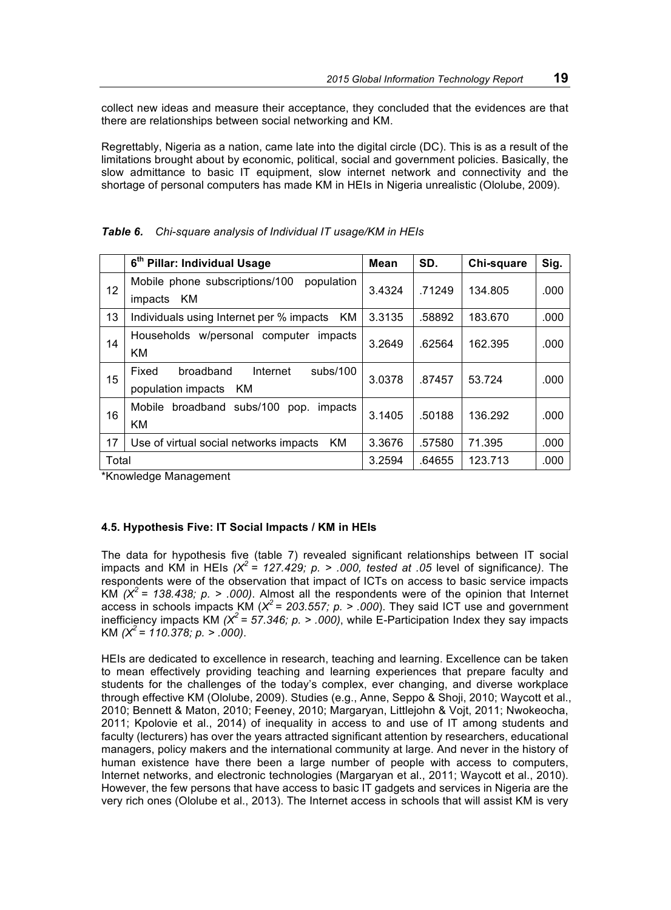collect new ideas and measure their acceptance, they concluded that the evidences are that there are relationships between social networking and KM.

Regrettably, Nigeria as a nation, came late into the digital circle (DC). This is as a result of the limitations brought about by economic, political, social and government policies. Basically, the slow admittance to basic IT equipment, slow internet network and connectivity and the shortage of personal computers has made KM in HEIs in Nigeria unrealistic (Ololube, 2009).

|       | 6 <sup>th</sup> Pillar: Individual Usage                                | <b>Mean</b> | SD.    | Chi-square | Sig. |
|-------|-------------------------------------------------------------------------|-------------|--------|------------|------|
| 12    | population<br>Mobile phone subscriptions/100<br>KM<br>impacts           | 3.4324      | .71249 | 134.805    | .000 |
| 13    | Individuals using Internet per % impacts<br>KM                          | 3.3135      | .58892 | 183.670    | .000 |
| 14    | Households w/personal computer<br>impacts<br>KM                         | 3.2649      | .62564 | 162.395    | .000 |
| 15    | Fixed<br>broadband<br>Internet<br>subs/100<br>population impacts<br>KM. | 3.0378      | .87457 | 53.724     | .000 |
| 16    | Mobile<br>broadband subs/100<br>impacts<br>pop.<br>ΚM                   | 3.1405      | .50188 | 136.292    | .000 |
| 17    | ΚM<br>Use of virtual social networks impacts                            | 3.3676      | .57580 | 71.395     | .000 |
| Total |                                                                         | 3.2594      | .64655 | 123.713    | .000 |

*Table 6. Chi-square analysis of Individual IT usage/KM in HEIs*

\*Knowledge Management

#### **4.5. Hypothesis Five: IT Social Impacts / KM in HEIs**

The data for hypothesis five (table 7) revealed significant relationships between IT social impacts and KM in HEIs *(X<sup>2</sup> = 127.429; p. > .000, tested at .05* level of significance*)*. The respondents were of the observation that impact of ICTs on access to basic service impacts KM  $(X^2 = 138.438; p. > .000)$ . Almost all the respondents were of the opinion that Internet access in schools impacts KM ( $X^2$  = 203.557; p. > .000). They said ICT use and government inefficiency impacts KM  $(X^2 = 57.346; p. > .000)$ , while E-Participation Index they say impacts KM *(X<sup>2</sup> = 110.378; p. > .000)*.

HEIs are dedicated to excellence in research, teaching and learning. Excellence can be taken to mean effectively providing teaching and learning experiences that prepare faculty and students for the challenges of the today's complex, ever changing, and diverse workplace through effective KM (Ololube, 2009). Studies (e.g., Anne, Seppo & Shoji, 2010; Waycott et al., 2010; Bennett & Maton, 2010; Feeney, 2010; Margaryan, Littlejohn & Vojt, 2011; Nwokeocha, 2011; Kpolovie et al., 2014) of inequality in access to and use of IT among students and faculty (lecturers) has over the years attracted significant attention by researchers, educational managers, policy makers and the international community at large. And never in the history of human existence have there been a large number of people with access to computers, Internet networks, and electronic technologies (Margaryan et al., 2011; Waycott et al., 2010). However, the few persons that have access to basic IT gadgets and services in Nigeria are the very rich ones (Ololube et al., 2013). The Internet access in schools that will assist KM is very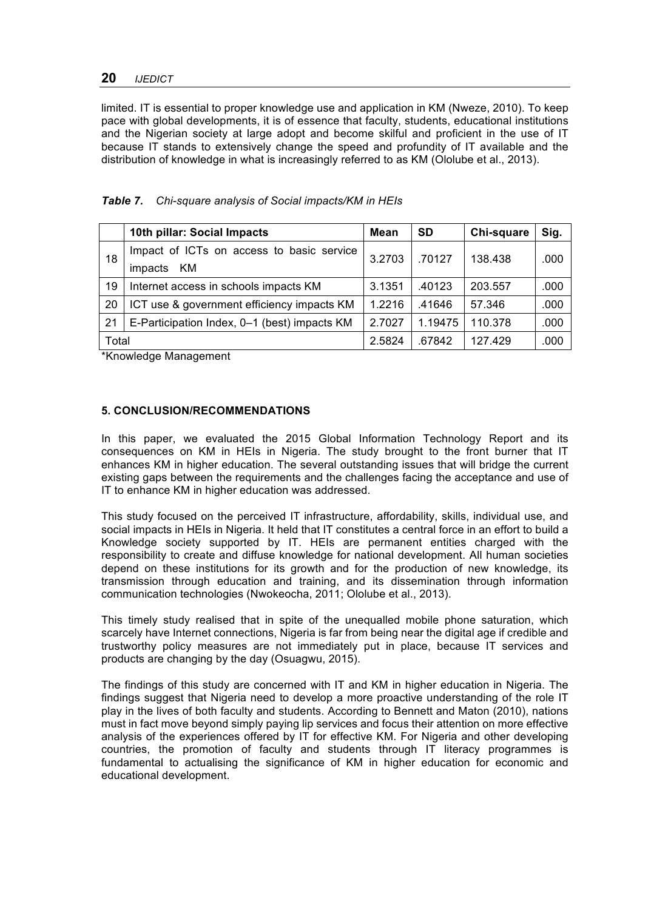limited. IT is essential to proper knowledge use and application in KM (Nweze, 2010). To keep pace with global developments, it is of essence that faculty, students, educational institutions and the Nigerian society at large adopt and become skilful and proficient in the use of IT because IT stands to extensively change the speed and profundity of IT available and the distribution of knowledge in what is increasingly referred to as KM (Ololube et al., 2013).

|       | 10th pillar: Social Impacts                         | Mean   | SD      | Chi-square | Sig. |
|-------|-----------------------------------------------------|--------|---------|------------|------|
| 18    | Impact of ICTs on access to basic service<br>3.2703 |        | .70127  | 138.438    | .000 |
|       | KМ<br>impacts                                       |        |         |            |      |
| 19    | Internet access in schools impacts KM               | 3.1351 | .40123  | 203.557    | .000 |
| 20    | ICT use & government efficiency impacts KM          | 1.2216 | .41646  | 57.346     | .000 |
| 21    | E-Participation Index, 0-1 (best) impacts KM        | 2.7027 | 1.19475 | 110.378    | .000 |
| Total |                                                     | 2.5824 | .67842  | 127.429    | .000 |

## *Table 7. Chi-square analysis of Social impacts/KM in HEIs*

\*Knowledge Management

## **5. CONCLUSION/RECOMMENDATIONS**

In this paper, we evaluated the 2015 Global Information Technology Report and its consequences on KM in HEIs in Nigeria. The study brought to the front burner that IT enhances KM in higher education. The several outstanding issues that will bridge the current existing gaps between the requirements and the challenges facing the acceptance and use of IT to enhance KM in higher education was addressed.

This study focused on the perceived IT infrastructure, affordability, skills, individual use, and social impacts in HEIs in Nigeria. It held that IT constitutes a central force in an effort to build a Knowledge society supported by IT. HEIs are permanent entities charged with the responsibility to create and diffuse knowledge for national development. All human societies depend on these institutions for its growth and for the production of new knowledge, its transmission through education and training, and its dissemination through information communication technologies (Nwokeocha, 2011; Ololube et al., 2013).

This timely study realised that in spite of the unequalled mobile phone saturation, which scarcely have Internet connections, Nigeria is far from being near the digital age if credible and trustworthy policy measures are not immediately put in place, because IT services and products are changing by the day (Osuagwu, 2015).

The findings of this study are concerned with IT and KM in higher education in Nigeria. The findings suggest that Nigeria need to develop a more proactive understanding of the role IT play in the lives of both faculty and students. According to Bennett and Maton (2010), nations must in fact move beyond simply paying lip services and focus their attention on more effective analysis of the experiences offered by IT for effective KM. For Nigeria and other developing countries, the promotion of faculty and students through IT literacy programmes is fundamental to actualising the significance of KM in higher education for economic and educational development.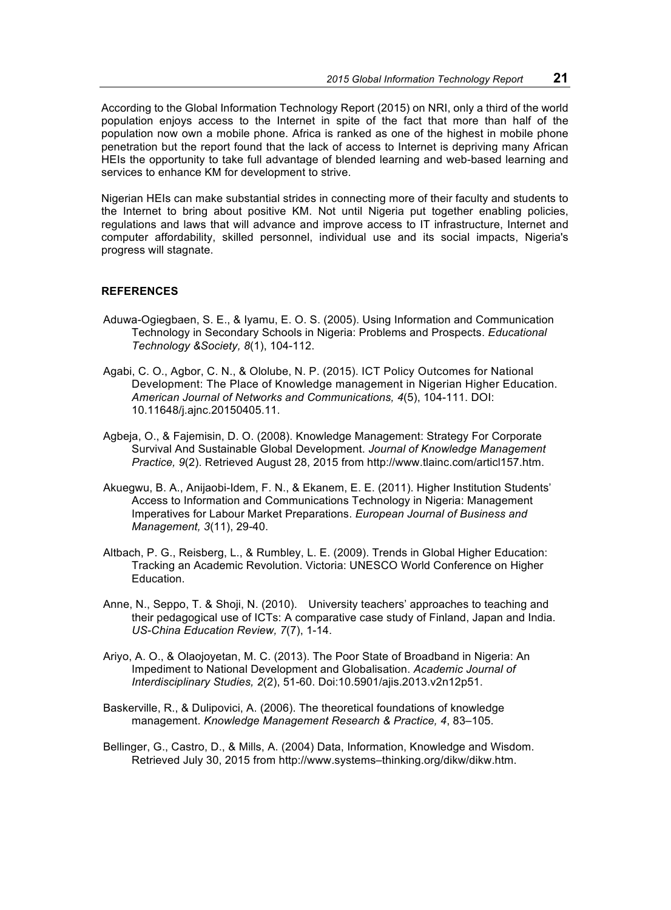According to the Global Information Technology Report (2015) on NRI, only a third of the world population enjoys access to the Internet in spite of the fact that more than half of the population now own a mobile phone. Africa is ranked as one of the highest in mobile phone penetration but the report found that the lack of access to Internet is depriving many African HEIs the opportunity to take full advantage of blended learning and web-based learning and services to enhance KM for development to strive.

Nigerian HEIs can make substantial strides in connecting more of their faculty and students to the Internet to bring about positive KM. Not until Nigeria put together enabling policies, regulations and laws that will advance and improve access to IT infrastructure, Internet and computer affordability, skilled personnel, individual use and its social impacts, Nigeria's progress will stagnate.

#### **REFERENCES**

- Aduwa-Ogiegbaen, S. E., & Iyamu, E. O. S. (2005). Using Information and Communication Technology in Secondary Schools in Nigeria: Problems and Prospects. *Educational Technology &Society, 8*(1), 104-112.
- Agabi, C. O., Agbor, C. N., & Ololube, N. P. (2015). ICT Policy Outcomes for National Development: The Place of Knowledge management in Nigerian Higher Education. *American Journal of Networks and Communications, 4*(5), 104-111. DOI: 10.11648/j.ajnc.20150405.11.
- Agbeja, O., & Fajemisin, D. O. (2008). Knowledge Management: Strategy For Corporate Survival And Sustainable Global Development. *Journal of Knowledge Management Practice, 9*(2). Retrieved August 28, 2015 from http://www.tlainc.com/articl157.htm.
- Akuegwu, B. A., Anijaobi-Idem, F. N., & Ekanem, E. E. (2011). Higher Institution Students' Access to Information and Communications Technology in Nigeria: Management Imperatives for Labour Market Preparations. *European Journal of Business and Management, 3*(11), 29-40.
- Altbach, P. G., Reisberg, L., & Rumbley, L. E. (2009). Trends in Global Higher Education: Tracking an Academic Revolution. Victoria: UNESCO World Conference on Higher Education.
- Anne, N., Seppo, T. & Shoji, N. (2010).University teachers' approaches to teaching and their pedagogical use of ICTs: A comparative case study of Finland, Japan and India. *US-China Education Review, 7*(7), 1-14.
- Ariyo, A. O., & Olaojoyetan, M. C. (2013). The Poor State of Broadband in Nigeria: An Impediment to National Development and Globalisation. *Academic Journal of Interdisciplinary Studies, 2*(2), 51-60. Doi:10.5901/ajis.2013.v2n12p51.
- Baskerville, R., & Dulipovici, A. (2006). The theoretical foundations of knowledge management. *Knowledge Management Research & Practice, 4*, 83–105.
- Bellinger, G., Castro, D., & Mills, A. (2004) Data, Information, Knowledge and Wisdom. Retrieved July 30, 2015 from http://www.systems–thinking.org/dikw/dikw.htm.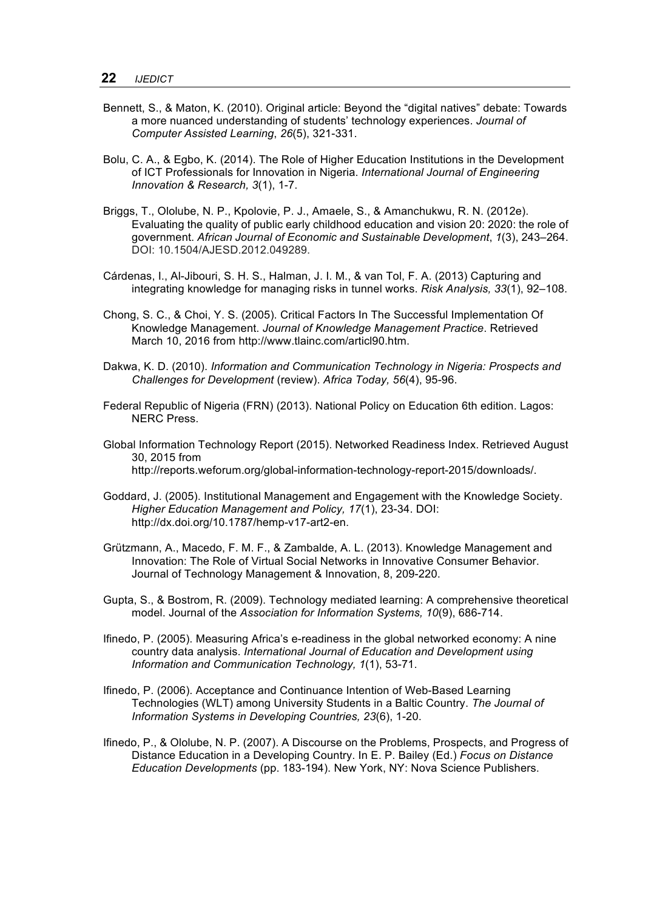- Bennett, S., & Maton, K. (2010). Original article: Beyond the "digital natives" debate: Towards a more nuanced understanding of students' technology experiences. *Journal of Computer Assisted Learning*, *26*(5), 321-331.
- Bolu, C. A., & Egbo, K. (2014). The Role of Higher Education Institutions in the Development of ICT Professionals for Innovation in Nigeria. *International Journal of Engineering Innovation & Research, 3*(1), 1-7.
- Briggs, T., Ololube, N. P., Kpolovie, P. J., Amaele, S., & Amanchukwu, R. N. (2012e). Evaluating the quality of public early childhood education and vision 20: 2020: the role of government. *African Journal of Economic and Sustainable Development*, *1*(3), 243–264. DOI: 10.1504/AJESD.2012.049289.
- Cárdenas, I., Al-Jibouri, S. H. S., Halman, J. I. M., & van Tol, F. A. (2013) Capturing and integrating knowledge for managing risks in tunnel works. *Risk Analysis, 33*(1), 92–108.
- Chong, S. C., & Choi, Y. S. (2005). Critical Factors In The Successful Implementation Of Knowledge Management. *Journal of Knowledge Management Practice*. Retrieved March 10, 2016 from http://www.tlainc.com/articl90.htm.
- Dakwa, K. D. (2010). *Information and Communication Technology in Nigeria: Prospects and Challenges for Development* (review). *Africa Today, 56*(4), 95-96.
- Federal Republic of Nigeria (FRN) (2013). National Policy on Education 6th edition. Lagos: NERC Press.
- Global Information Technology Report (2015). Networked Readiness Index. Retrieved August 30, 2015 from http://reports.weforum.org/global-information-technology-report-2015/downloads/.
- Goddard, J. (2005). Institutional Management and Engagement with the Knowledge Society. *Higher Education Management and Policy, 17*(1), 23-34. DOI: http://dx.doi.org/10.1787/hemp-v17-art2-en.
- Grützmann, A., Macedo, F. M. F., & Zambalde, A. L. (2013). Knowledge Management and Innovation: The Role of Virtual Social Networks in Innovative Consumer Behavior. Journal of Technology Management & Innovation, 8, 209-220.
- Gupta, S., & Bostrom, R. (2009). Technology mediated learning: A comprehensive theoretical model. Journal of the *Association for Information Systems, 10*(9), 686-714.
- Ifinedo, P. (2005). Measuring Africa's e-readiness in the global networked economy: A nine country data analysis. *International Journal of Education and Development using Information and Communication Technology, 1*(1), 53-71.
- Ifinedo, P. (2006). Acceptance and Continuance Intention of Web-Based Learning Technologies (WLT) among University Students in a Baltic Country. *The Journal of Information Systems in Developing Countries, 23*(6), 1-20.
- Ifinedo, P., & Ololube, N. P. (2007). A Discourse on the Problems, Prospects, and Progress of Distance Education in a Developing Country. In E. P. Bailey (Ed.) *Focus on Distance Education Developments* (pp. 183-194). New York, NY: Nova Science Publishers.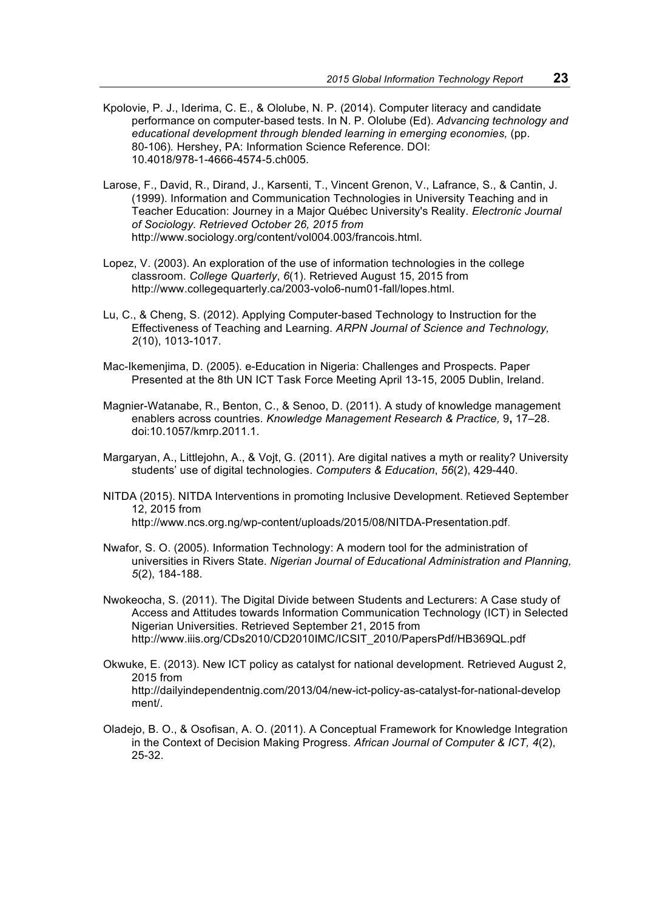- Kpolovie, P. J., Iderima, C. E., & Ololube, N. P. (2014). Computer literacy and candidate performance on computer-based tests. In N. P. Ololube (Ed). *Advancing technology and educational development through blended learning in emerging economies,* (pp. 80-106)*.* Hershey, PA: Information Science Reference. DOI: 10.4018/978-1-4666-4574-5.ch005.
- Larose, F., David, R., Dirand, J., Karsenti, T., Vincent Grenon, V., Lafrance, S., & Cantin, J. (1999). Information and Communication Technologies in University Teaching and in Teacher Education: Journey in a Major Québec University's Reality. *Electronic Journal of Sociology. Retrieved October 26, 2015 from*  http://www.sociology.org/content/vol004.003/francois.html.
- Lopez, V. (2003). An exploration of the use of information technologies in the college classroom. *College Quarterly*, *6*(1). Retrieved August 15, 2015 from http://www.collegequarterly.ca/2003-volo6-num01-fall/lopes.html.
- Lu, C., & Cheng, S. (2012). Applying Computer-based Technology to Instruction for the Effectiveness of Teaching and Learning. *ARPN Journal of Science and Technology, 2*(10), 1013-1017.
- Mac-Ikemenjima, D. (2005). e-Education in Nigeria: Challenges and Prospects. Paper Presented at the 8th UN ICT Task Force Meeting April 13-15, 2005 Dublin, Ireland.
- Magnier-Watanabe, R., Benton, C., & Senoo, D. (2011). A study of knowledge management enablers across countries. *Knowledge Management Research & Practice,* 9**,** 17–28. doi:10.1057/kmrp.2011.1.
- Margaryan, A., Littlejohn, A., & Vojt, G. (2011). Are digital natives a myth or reality? University students' use of digital technologies. *Computers & Education*, *56*(2), 429-440.
- NITDA (2015). NITDA Interventions in promoting Inclusive Development. Retieved September 12, 2015 from http://www.ncs.org.ng/wp-content/uploads/2015/08/NITDA-Presentation.pdf.
- Nwafor, S. O. (2005). Information Technology: A modern tool for the administration of universities in Rivers State. *Nigerian Journal of Educational Administration and Planning, 5*(2), 184-188.
- Nwokeocha, S. (2011). The Digital Divide between Students and Lecturers: A Case study of Access and Attitudes towards Information Communication Technology (ICT) in Selected Nigerian Universities. Retrieved September 21, 2015 from http://www.iiis.org/CDs2010/CD2010IMC/ICSIT\_2010/PapersPdf/HB369QL.pdf
- Okwuke, E. (2013). New ICT policy as catalyst for national development. Retrieved August 2, 2015 from http://dailyindependentnig.com/2013/04/new-ict-policy-as-catalyst-for-national-develop ment/.
- Oladejo, B. O., & Osofisan, A. O. (2011). A Conceptual Framework for Knowledge Integration in the Context of Decision Making Progress. *African Journal of Computer & ICT, 4*(2), 25-32.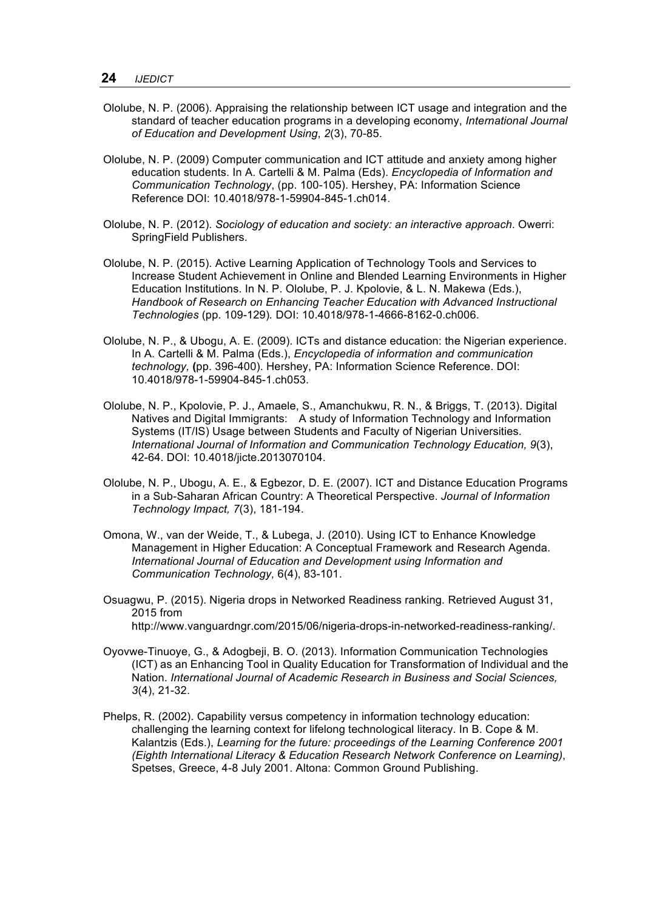- Ololube, N. P. (2006). Appraising the relationship between ICT usage and integration and the standard of teacher education programs in a developing economy, *International Journal of Education and Development Using*, *2*(3), 70-85.
- Ololube, N. P. (2009) Computer communication and ICT attitude and anxiety among higher education students. In A. Cartelli & M. Palma (Eds). *Encyclopedia of Information and Communication Technology*, (pp. 100-105). Hershey, PA: Information Science Reference DOI: 10.4018/978-1-59904-845-1.ch014.
- Ololube, N. P. (2012). *Sociology of education and society: an interactive approach*. Owerri: SpringField Publishers.
- Ololube, N. P. (2015). Active Learning Application of Technology Tools and Services to Increase Student Achievement in Online and Blended Learning Environments in Higher Education Institutions. In N. P. Ololube, P. J. Kpolovie, & L. N. Makewa (Eds.), *Handbook of Research on Enhancing Teacher Education with Advanced Instructional Technologies* (pp. 109-129)*.* DOI: 10.4018/978-1-4666-8162-0.ch006.
- Ololube, N. P., & Ubogu, A. E. (2009). ICTs and distance education: the Nigerian experience. In A. Cartelli & M. Palma (Eds.), *Encyclopedia of information and communication technology,* **(**pp. 396-400). Hershey, PA: Information Science Reference. DOI: 10.4018/978-1-59904-845-1.ch053.
- Ololube, N. P., Kpolovie, P. J., Amaele, S., Amanchukwu, R. N., & Briggs, T. (2013). Digital Natives and Digital Immigrants: A study of Information Technology and Information Systems (IT/IS) Usage between Students and Faculty of Nigerian Universities. *International Journal of Information and Communication Technology Education, 9*(3), 42-64. DOI: 10.4018/jicte.2013070104.
- Ololube, N. P., Ubogu, A. E., & Egbezor, D. E. (2007). ICT and Distance Education Programs in a Sub-Saharan African Country: A Theoretical Perspective. *Journal of Information Technology Impact, 7*(3), 181-194.
- Omona, W., van der Weide, T., & Lubega, J. (2010). Using ICT to Enhance Knowledge Management in Higher Education: A Conceptual Framework and Research Agenda. *International Journal of Education and Development using Information and Communication Technology,* 6(4), 83-101.
- Osuagwu, P. (2015). Nigeria drops in Networked Readiness ranking. Retrieved August 31, 2015 from http://www.vanguardngr.com/2015/06/nigeria-drops-in-networked-readiness-ranking/.
- Oyovwe-Tinuoye, G., & Adogbeji, B. O. (2013). Information Communication Technologies (ICT) as an Enhancing Tool in Quality Education for Transformation of Individual and the Nation. *International Journal of Academic Research in Business and Social Sciences, 3*(4), 21-32.
- Phelps, R. (2002). Capability versus competency in information technology education: challenging the learning context for lifelong technological literacy. In B. Cope & M. Kalantzis (Eds.), *Learning for the future: proceedings of the Learning Conference 2001 (Eighth International Literacy & Education Research Network Conference on Learning)*, Spetses, Greece, 4-8 July 2001. Altona: Common Ground Publishing.